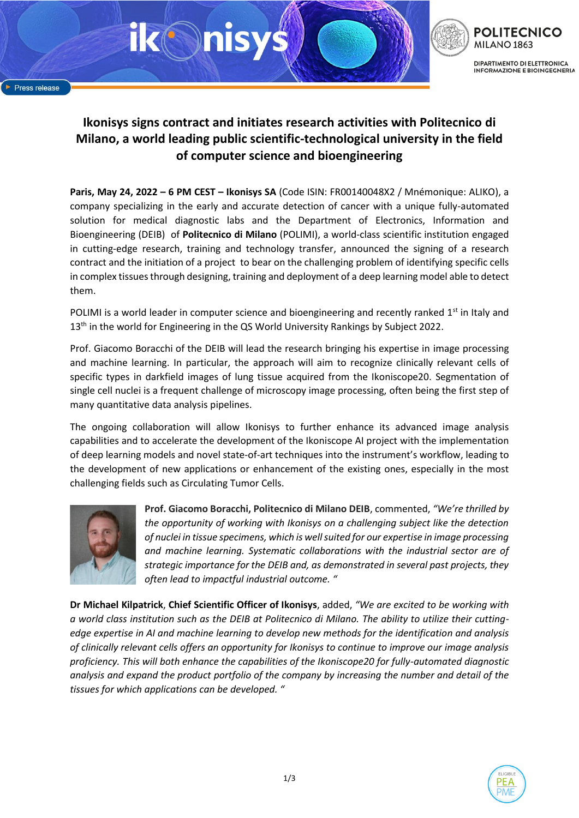

# **Ikonisys signs contract and initiates research activities with Politecnico di Milano, a world leading public scientific-technological university in the field of computer science and bioengineering**

**Paris, May 24, 2022 – 6 PM CEST – Ikonisys SA** (Code ISIN: FR00140048X2 / Mnémonique: ALIKO), a company specializing in the early and accurate detection of cancer with a unique fully-automated solution for medical diagnostic labs and the Department of Electronics, Information and Bioengineering (DEIB) of **Politecnico di Milano** (POLIMI), a world-class scientific institution engaged in cutting-edge research, training and technology transfer, announced the signing of a research contract and the initiation of a project to bear on the challenging problem of identifying specific cells in complex tissues through designing, training and deployment of a deep learning model able to detect them.

POLIMI is a world leader in computer science and bioengineering and recently ranked  $1<sup>st</sup>$  in Italy and 13<sup>th</sup> in the world for Engineering in the QS World University Rankings by Subject 2022.

Prof. Giacomo Boracchi of the DEIB will lead the research bringing his expertise in image processing and machine learning. In particular, the approach will aim to recognize clinically relevant cells of specific types in darkfield images of lung tissue acquired from the Ikoniscope20. Segmentation of single cell nuclei is a frequent challenge of microscopy image processing, often being the first step of many quantitative data analysis pipelines.

The ongoing collaboration will allow Ikonisys to further enhance its advanced image analysis capabilities and to accelerate the development of the Ikoniscope AI project with the implementation of deep learning models and novel state-of-art techniques into the instrument's workflow, leading to the development of new applications or enhancement of the existing ones, especially in the most challenging fields such as Circulating Tumor Cells.



**Prof. Giacomo Boracchi, Politecnico di Milano DEIB**, commented, *"We're thrilled by the opportunity of working with Ikonisys on a challenging subject like the detection of nuclei in tissue specimens, which is well suited for our expertise in image processing and machine learning. Systematic collaborations with the industrial sector are of strategic importance for the DEIB and, as demonstrated in several past projects, they often lead to impactful industrial outcome. "*

**Dr Michael Kilpatrick**, **Chief Scientific Officer of Ikonisys**, added, *"We are excited to be working with a world class institution such as the DEIB at Politecnico di Milano. The ability to utilize their cuttingedge expertise in AI and machine learning to develop new methods for the identification and analysis of clinically relevant cells offers an opportunity for Ikonisys to continue to improve our image analysis proficiency. This will both enhance the capabilities of the Ikoniscope20 for fully-automated diagnostic analysis and expand the product portfolio of the company by increasing the number and detail of the tissues for which applications can be developed. "*

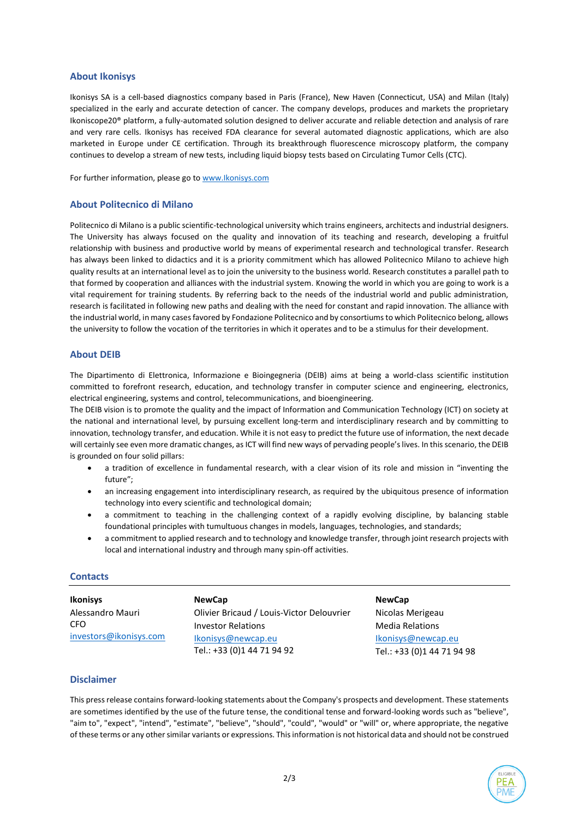## **About Ikonisys**

Ikonisys SA is a cell-based diagnostics company based in Paris (France), New Haven (Connecticut, USA) and Milan (Italy) specialized in the early and accurate detection of cancer. The company develops, produces and markets the proprietary Ikoniscope20® platform, a fully-automated solution designed to deliver accurate and reliable detection and analysis of rare and very rare cells. Ikonisys has received FDA clearance for several automated diagnostic applications, which are also marketed in Europe under CE certification. Through its breakthrough fluorescence microscopy platform, the company continues to develop a stream of new tests, including liquid biopsy tests based on Circulating Tumor Cells (CTC).

For further information, please go t[o www.Ikonisys.com](http://www.ikonisys.com/)

## **About Politecnico di Milano**

Politecnico di Milano is a public scientific-technological university which trains engineers, architects and industrial designers. The University has always focused on the quality and innovation of its teaching and research, developing a fruitful relationship with business and productive world by means of experimental research and technological transfer. Research has always been linked to didactics and it is a priority commitment which has allowed Politecnico Milano to achieve high quality results at an international level as to join the university to the business world. Research constitutes a parallel path to that formed by cooperation and alliances with the industrial system. Knowing the world in which you are going to work is a vital requirement for training students. By referring back to the needs of the industrial world and public administration, research is facilitated in following new paths and dealing with the need for constant and rapid innovation. The alliance with the industrial world, in many cases favored by Fondazione Politecnico and by consortiums to which Politecnico belong, allows the university to follow the vocation of the territories in which it operates and to be a stimulus for their development.

## **About DEIB**

The Dipartimento di Elettronica, Informazione e Bioingegneria (DEIB) aims at being a world-class scientific institution committed to forefront research, education, and technology transfer in computer science and engineering, electronics, electrical engineering, systems and control, telecommunications, and bioengineering.

The DEIB vision is to promote the quality and the impact of Information and Communication Technology (ICT) on society at the national and international level, by pursuing excellent long-term and interdisciplinary research and by committing to innovation, technology transfer, and education. While it is not easy to predict the future use of information, the next decade will certainly see even more dramatic changes, as ICT will find new ways of pervading people's lives. In this scenario, the DEIB is grounded on four solid pillars:

- a tradition of excellence in fundamental research, with a clear vision of its role and mission in "inventing the future";
- an increasing engagement into interdisciplinary research, as required by the ubiquitous presence of information technology into every scientific and technological domain;
- a commitment to teaching in the challenging context of a rapidly evolving discipline, by balancing stable foundational principles with tumultuous changes in models, languages, technologies, and standards;
- a commitment to applied research and to technology and knowledge transfer, through joint research projects with local and international industry and through many spin-off activities.

#### **Contacts**

| <b>Ikonisys</b>        | <b>NewCap</b>                             | <b>NewCap</b>              |
|------------------------|-------------------------------------------|----------------------------|
| Alessandro Mauri       | Olivier Bricaud / Louis-Victor Delouvrier | Nicolas Merigeau           |
| CFO                    | <b>Investor Relations</b>                 | <b>Media Relations</b>     |
| investors@ikonisys.com | Ikonisys@newcap.eu                        | Ikonisys@newcap.eu         |
|                        | Tel.: +33 (0)1 44 71 94 92                | Tel.: +33 (0)1 44 71 94 98 |

#### **Disclaimer**

This press release contains forward-looking statements about the Company's prospects and development. These statements are sometimes identified by the use of the future tense, the conditional tense and forward-looking words such as "believe", "aim to", "expect", "intend", "estimate", "believe", "should", "could", "would" or "will" or, where appropriate, the negative of these terms or any other similar variants or expressions. This information is not historical data and should not be construed